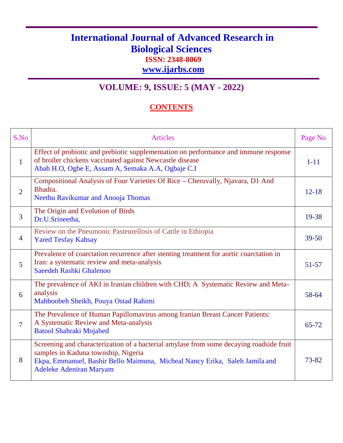## **International Journal of Advanced Research in Biological Sciences ISSN: 2348-8069**

**www.ijarbs.com**

## **VOLUME: 9, ISSUE: 5 (MAY - 2022)**

## **CONTENTS**

| S.No                     | <b>Articles</b>                                                                                                                                                                                                                                 | Page No   |
|--------------------------|-------------------------------------------------------------------------------------------------------------------------------------------------------------------------------------------------------------------------------------------------|-----------|
| $\mathbf{1}$             | Effect of probiotic and prebiotic supplementation on performance and immune response<br>of broiler chickens vaccinated against Newcastle disease<br>Abah H.O, Ogbe E, Assam A, Semaka A.A, Ogbaje C.I                                           | $1 - 11$  |
| $\overline{2}$           | Compositional Analysis of Four Varieties Of Rice - Cheruvally, Njavara, D1 And<br>Bhadra.<br>Neethu Ravikumar and Anooja Thomas                                                                                                                 | $12 - 18$ |
| 3                        | The Origin and Evolution of Birds<br>Dr.U.Srineetha,                                                                                                                                                                                            | 19-38     |
| $\overline{4}$           | Review on the Pneumonic Pasteurellosis of Cattle in Ethiopia<br><b>Yared Tesfay Kahsay</b>                                                                                                                                                      | $39 - 50$ |
| 5                        | Prevalence of coarctation recurrence after stenting treatment for aortic coarctation in<br>Iran: a systematic review and meta-analysis<br>Saeedeh Rashki Ghalenoo                                                                               | $51 - 57$ |
| 6                        | The prevalence of AKI in Iranian children with CHD; A Systematic Review and Meta-<br>analysis<br>Mahboobeh Sheikh, Pouya Ostad Rahimi                                                                                                           | 58-64     |
| $\overline{\mathcal{I}}$ | The Prevalence of Human Papillomavirus among Iranian Breast Cancer Patients:<br>A Systematic Review and Meta-analysis<br><b>Batool Shahraki Mojahed</b>                                                                                         | 65-72     |
| 8                        | Screening and characterization of a bacterial amylase from some decaying roadside fruit<br>samples in Kaduna township, Nigeria<br>Ekpa, Emmanuel, Bashir Bello Maimuna, Micheal Nancy Erika, Saleh Jamila and<br><b>Adeleke Adeniran Maryam</b> | 73-82     |